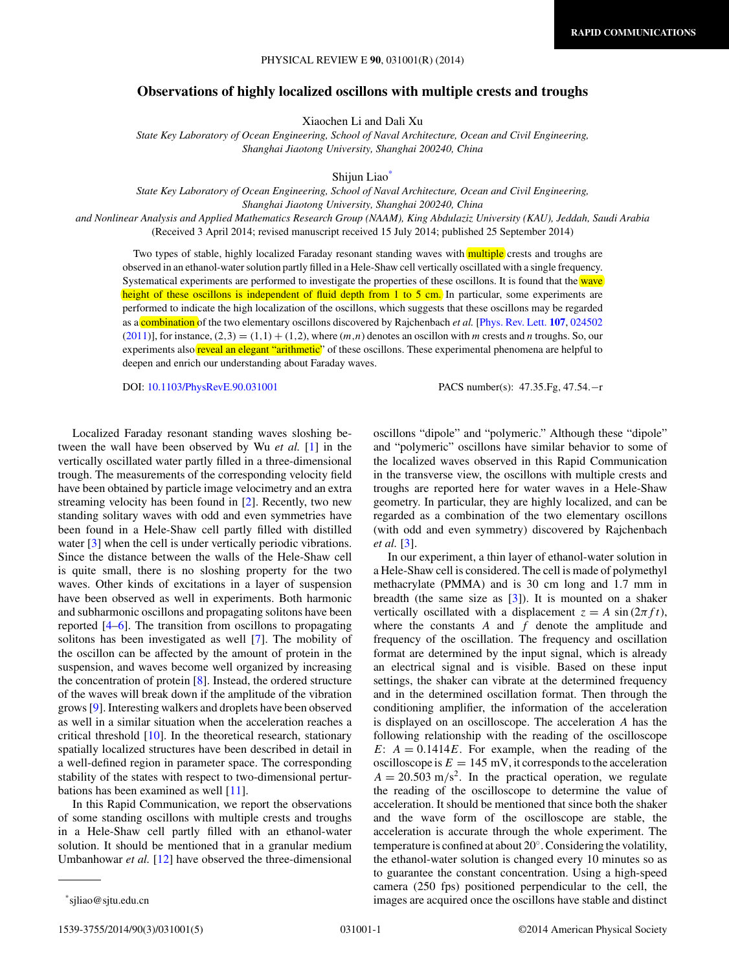## **Observations of highly localized oscillons with multiple crests and troughs**

Xiaochen Li and Dali Xu

*State Key Laboratory of Ocean Engineering, School of Naval Architecture, Ocean and Civil Engineering, Shanghai Jiaotong University, Shanghai 200240, China*

Shijun Liao\*

*State Key Laboratory of Ocean Engineering, School of Naval Architecture, Ocean and Civil Engineering, Shanghai Jiaotong University, Shanghai 200240, China*

*and Nonlinear Analysis and Applied Mathematics Research Group (NAAM), King Abdulaziz University (KAU), Jeddah, Saudi Arabia* (Received 3 April 2014; revised manuscript received 15 July 2014; published 25 September 2014)

Two types of stable, highly localized Faraday resonant standing waves with **multiple** crests and troughs are observed in an ethanol-water solution partly filled in a Hele-Shaw cell vertically oscillated with a single frequency. Systematical experiments are performed to investigate the properties of these oscillons. It is found that the wave height of these oscillons is independent of fluid depth from 1 to 5 cm. In particular, some experiments are performed to indicate the high localization of the oscillons, which suggests that these oscillons may be regarded as a combination of the two elementary oscillons discovered by Rajchenbach *et al.* [\[Phys. Rev. Lett.](http://dx.doi.org/10.1103/PhysRevLett.107.024502) **[107](http://dx.doi.org/10.1103/PhysRevLett.107.024502)**, [024502](http://dx.doi.org/10.1103/PhysRevLett.107.024502)  $(2011)$ ], for instance,  $(2,3) = (1,1) + (1,2)$ , where  $(m,n)$  denotes an oscillon with *m* crests and *n* troughs. So, our experiments also reveal an elegant "arithmetic" of these oscillons. These experimental phenomena are helpful to deepen and enrich our understanding about Faraday waves.

DOI: [10.1103/PhysRevE.90.031001](http://dx.doi.org/10.1103/PhysRevE.90.031001) PACS number(s): 47*.*35*.*Fg*,* 47*.*54*.*−r

Localized Faraday resonant standing waves sloshing between the wall have been observed by Wu *et al.* [\[1\]](#page-4-0) in the vertically oscillated water partly filled in a three-dimensional trough. The measurements of the corresponding velocity field have been obtained by particle image velocimetry and an extra streaming velocity has been found in [\[2\]](#page-4-0). Recently, two new standing solitary waves with odd and even symmetries have been found in a Hele-Shaw cell partly filled with distilled water [\[3\]](#page-4-0) when the cell is under vertically periodic vibrations. Since the distance between the walls of the Hele-Shaw cell is quite small, there is no sloshing property for the two waves. Other kinds of excitations in a layer of suspension have been observed as well in experiments. Both harmonic and subharmonic oscillons and propagating solitons have been reported [\[4–6\]](#page-4-0). The transition from oscillons to propagating solitons has been investigated as well [\[7\]](#page-4-0). The mobility of the oscillon can be affected by the amount of protein in the suspension, and waves become well organized by increasing the concentration of protein [\[8\]](#page-4-0). Instead, the ordered structure of the waves will break down if the amplitude of the vibration grows [\[9\]](#page-4-0). Interesting walkers and droplets have been observed as well in a similar situation when the acceleration reaches a critical threshold [\[10\]](#page-4-0). In the theoretical research, stationary spatially localized structures have been described in detail in a well-defined region in parameter space. The corresponding stability of the states with respect to two-dimensional perturbations has been examined as well [\[11\]](#page-4-0).

In this Rapid Communication, we report the observations of some standing oscillons with multiple crests and troughs in a Hele-Shaw cell partly filled with an ethanol-water solution. It should be mentioned that in a granular medium Umbanhowar *et al.* [\[12\]](#page-4-0) have observed the three-dimensional

oscillons "dipole" and "polymeric." Although these "dipole" and "polymeric" oscillons have similar behavior to some of the localized waves observed in this Rapid Communication in the transverse view, the oscillons with multiple crests and troughs are reported here for water waves in a Hele-Shaw geometry. In particular, they are highly localized, and can be regarded as a combination of the two elementary oscillons (with odd and even symmetry) discovered by Rajchenbach *et al.* [\[3\]](#page-4-0).

In our experiment, a thin layer of ethanol-water solution in a Hele-Shaw cell is considered. The cell is made of polymethyl methacrylate (PMMA) and is 30 cm long and 1.7 mm in breadth (the same size as [\[3\]](#page-4-0)). It is mounted on a shaker vertically oscillated with a displacement  $z = A \sin(2\pi f t)$ , where the constants *A* and *f* denote the amplitude and frequency of the oscillation. The frequency and oscillation format are determined by the input signal, which is already an electrical signal and is visible. Based on these input settings, the shaker can vibrate at the determined frequency and in the determined oscillation format. Then through the conditioning amplifier, the information of the acceleration is displayed on an oscilloscope. The acceleration *A* has the following relationship with the reading of the oscilloscope *E*:  $A = 0.1414E$ . For example, when the reading of the oscilloscope is  $E = 145$  mV, it corresponds to the acceleration  $A = 20.503$  m/s<sup>2</sup>. In the practical operation, we regulate the reading of the oscilloscope to determine the value of acceleration. It should be mentioned that since both the shaker and the wave form of the oscilloscope are stable, the acceleration is accurate through the whole experiment. The temperature is confined at about 20◦. Considering the volatility, the ethanol-water solution is changed every 10 minutes so as to guarantee the constant concentration. Using a high-speed camera (250 fps) positioned perpendicular to the cell, the images are acquired once the oscillons have stable and distinct

<sup>\*</sup>sjliao@sjtu.edu.cn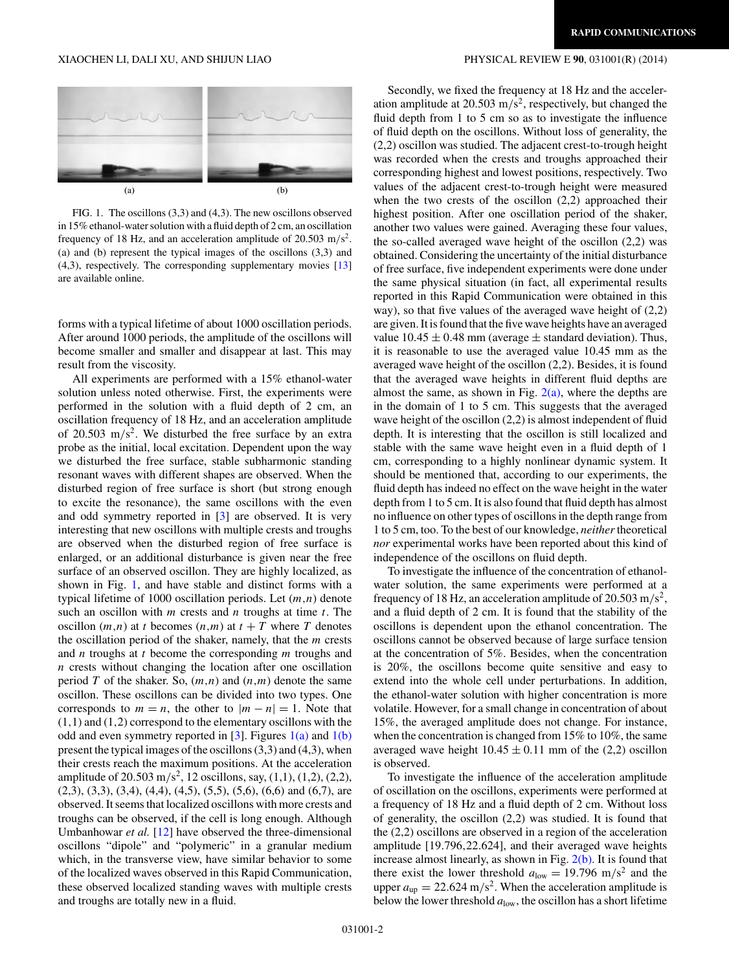<span id="page-1-0"></span>

FIG. 1. The oscillons (3,3) and (4,3). The new oscillons observed in 15% ethanol-water solution with a fluid depth of 2 cm, an oscillation frequency of 18 Hz, and an acceleration amplitude of  $20.503 \text{ m/s}^2$ . (a) and (b) represent the typical images of the oscillons (3,3) and (4,3), respectively. The corresponding supplementary movies [\[13\]](#page-4-0) are available online.

forms with a typical lifetime of about 1000 oscillation periods. After around 1000 periods, the amplitude of the oscillons will become smaller and smaller and disappear at last. This may result from the viscosity.

All experiments are performed with a 15% ethanol-water solution unless noted otherwise. First, the experiments were performed in the solution with a fluid depth of 2 cm, an oscillation frequency of 18 Hz, and an acceleration amplitude of 20.503 m*/*s2. We disturbed the free surface by an extra probe as the initial, local excitation. Dependent upon the way we disturbed the free surface, stable subharmonic standing resonant waves with different shapes are observed. When the disturbed region of free surface is short (but strong enough to excite the resonance), the same oscillons with the even and odd symmetry reported in [\[3\]](#page-4-0) are observed. It is very interesting that new oscillons with multiple crests and troughs are observed when the disturbed region of free surface is enlarged, or an additional disturbance is given near the free surface of an observed oscillon. They are highly localized, as shown in Fig. 1, and have stable and distinct forms with a typical lifetime of 1000 oscillation periods. Let (*m,n*) denote such an oscillon with *m* crests and *n* troughs at time *t*. The oscillon  $(m,n)$  at *t* becomes  $(n,m)$  at  $t + T$  where *T* denotes the oscillation period of the shaker, namely, that the *m* crests and *n* troughs at *t* become the corresponding *m* troughs and *n* crests without changing the location after one oscillation period *T* of the shaker. So, (*m,n*) and (*n,m*) denote the same oscillon. These oscillons can be divided into two types. One corresponds to  $m = n$ , the other to  $|m - n| = 1$ . Note that (1*,*1) and (1*,*2) correspond to the elementary oscillons with the odd and even symmetry reported in [\[3\]](#page-4-0). Figures  $1(a)$  and  $1(b)$ present the typical images of the oscillons (3,3) and (4,3), when their crests reach the maximum positions. At the acceleration amplitude of 20*.*503 m*/*s2, 12 oscillons, say, (1,1), (1,2), (2,2),  $(2,3)$ ,  $(3,3)$ ,  $(3,4)$ ,  $(4,4)$ ,  $(4,5)$ ,  $(5,5)$ ,  $(5,6)$ ,  $(6,6)$  and  $(6,7)$ , are observed. It seems that localized oscillons with more crests and troughs can be observed, if the cell is long enough. Although Umbanhowar *et al.* [\[12\]](#page-4-0) have observed the three-dimensional oscillons "dipole" and "polymeric" in a granular medium which, in the transverse view, have similar behavior to some of the localized waves observed in this Rapid Communication, these observed localized standing waves with multiple crests and troughs are totally new in a fluid.

Secondly, we fixed the frequency at 18 Hz and the acceleration amplitude at 20.503 m*/*s2, respectively, but changed the fluid depth from 1 to 5 cm so as to investigate the influence of fluid depth on the oscillons. Without loss of generality, the (2,2) oscillon was studied. The adjacent crest-to-trough height was recorded when the crests and troughs approached their corresponding highest and lowest positions, respectively. Two values of the adjacent crest-to-trough height were measured when the two crests of the oscillon (2,2) approached their highest position. After one oscillation period of the shaker, another two values were gained. Averaging these four values, the so-called averaged wave height of the oscillon (2,2) was obtained. Considering the uncertainty of the initial disturbance of free surface, five independent experiments were done under the same physical situation (in fact, all experimental results reported in this Rapid Communication were obtained in this way), so that five values of the averaged wave height of (2,2) are given. It is found that the five wave heights have an averaged value  $10.45 \pm 0.48$  mm (average  $\pm$  standard deviation). Thus, it is reasonable to use the averaged value 10.45 mm as the averaged wave height of the oscillon (2,2). Besides, it is found that the averaged wave heights in different fluid depths are almost the same, as shown in Fig.  $2(a)$ , where the depths are in the domain of 1 to 5 cm. This suggests that the averaged wave height of the oscillon  $(2,2)$  is almost independent of fluid depth. It is interesting that the oscillon is still localized and stable with the same wave height even in a fluid depth of 1 cm, corresponding to a highly nonlinear dynamic system. It should be mentioned that, according to our experiments, the fluid depth has indeed no effect on the wave height in the water depth from 1 to 5 cm. It is also found that fluid depth has almost no influence on other types of oscillons in the depth range from 1 to 5 cm, too. To the best of our knowledge, *neither*theoretical *nor* experimental works have been reported about this kind of independence of the oscillons on fluid depth.

To investigate the influence of the concentration of ethanolwater solution, the same experiments were performed at a frequency of 18 Hz, an acceleration amplitude of 20.503 m*/*s2, and a fluid depth of 2 cm. It is found that the stability of the oscillons is dependent upon the ethanol concentration. The oscillons cannot be observed because of large surface tension at the concentration of 5%. Besides, when the concentration is 20%, the oscillons become quite sensitive and easy to extend into the whole cell under perturbations. In addition, the ethanol-water solution with higher concentration is more volatile. However, for a small change in concentration of about 15%, the averaged amplitude does not change. For instance, when the concentration is changed from 15% to 10%, the same averaged wave height  $10.45 \pm 0.11$  mm of the (2,2) oscillon is observed.

To investigate the influence of the acceleration amplitude of oscillation on the oscillons, experiments were performed at a frequency of 18 Hz and a fluid depth of 2 cm. Without loss of generality, the oscillon (2,2) was studied. It is found that the (2,2) oscillons are observed in a region of the acceleration amplitude [19*.*796*,*22*.*624], and their averaged wave heights increase almost linearly, as shown in Fig.  $2(b)$ . It is found that there exist the lower threshold  $a_{\text{low}} = 19.796 \text{ m/s}^2$  and the upper  $a_{\rm up} = 22.624 \text{ m/s}^2$ . When the acceleration amplitude is below the lower threshold  $a_{\text{low}}$ , the oscillon has a short lifetime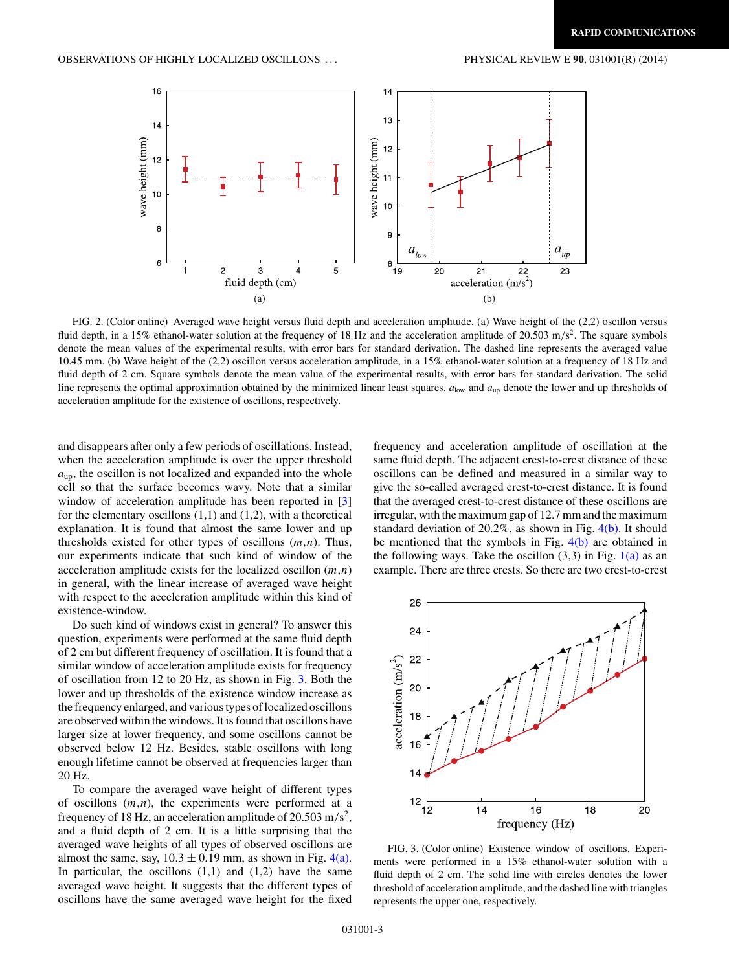<span id="page-2-0"></span>

FIG. 2. (Color online) Averaged wave height versus fluid depth and acceleration amplitude. (a) Wave height of the (2,2) oscillon versus fluid depth, in a 15% ethanol-water solution at the frequency of 18 Hz and the acceleration amplitude of 20.503 m/s<sup>2</sup>. The square symbols denote the mean values of the experimental results, with error bars for standard derivation. The dashed line represents the averaged value 10.45 mm. (b) Wave height of the (2,2) oscillon versus acceleration amplitude, in a 15% ethanol-water solution at a frequency of 18 Hz and fluid depth of 2 cm. Square symbols denote the mean value of the experimental results, with error bars for standard derivation. The solid line represents the optimal approximation obtained by the minimized linear least squares.  $a_{\text{low}}$  and  $a_{\text{up}}$  denote the lower and up thresholds of acceleration amplitude for the existence of oscillons, respectively.

and disappears after only a few periods of oscillations. Instead, when the acceleration amplitude is over the upper threshold  $a_{\rm up}$ , the oscillon is not localized and expanded into the whole cell so that the surface becomes wavy. Note that a similar window of acceleration amplitude has been reported in [\[3\]](#page-4-0) for the elementary oscillons  $(1,1)$  and  $(1,2)$ , with a theoretical explanation. It is found that almost the same lower and up thresholds existed for other types of oscillons (*m,n*). Thus, our experiments indicate that such kind of window of the acceleration amplitude exists for the localized oscillon (*m,n*) in general, with the linear increase of averaged wave height with respect to the acceleration amplitude within this kind of existence-window.

Do such kind of windows exist in general? To answer this question, experiments were performed at the same fluid depth of 2 cm but different frequency of oscillation. It is found that a similar window of acceleration amplitude exists for frequency of oscillation from 12 to 20 Hz, as shown in Fig. 3. Both the lower and up thresholds of the existence window increase as the frequency enlarged, and various types of localized oscillons are observed within the windows. It is found that oscillons have larger size at lower frequency, and some oscillons cannot be observed below 12 Hz. Besides, stable oscillons with long enough lifetime cannot be observed at frequencies larger than 20 Hz.

To compare the averaged wave height of different types of oscillons (*m,n*), the experiments were performed at a frequency of 18 Hz, an acceleration amplitude of 20.503 m*/*s2, and a fluid depth of 2 cm. It is a little surprising that the averaged wave heights of all types of observed oscillons are almost the same, say,  $10.3 \pm 0.19$  mm, as shown in Fig. [4\(a\).](#page-3-0) In particular, the oscillons  $(1,1)$  and  $(1,2)$  have the same averaged wave height. It suggests that the different types of oscillons have the same averaged wave height for the fixed

frequency and acceleration amplitude of oscillation at the same fluid depth. The adjacent crest-to-crest distance of these oscillons can be defined and measured in a similar way to give the so-called averaged crest-to-crest distance. It is found that the averaged crest-to-crest distance of these oscillons are irregular, with the maximum gap of 12.7 mm and the maximum standard deviation of 20.2%, as shown in Fig.  $4(b)$ . It should be mentioned that the symbols in Fig. [4\(b\)](#page-3-0) are obtained in the following ways. Take the oscillon  $(3,3)$  in Fig.  $1(a)$  as an example. There are three crests. So there are two crest-to-crest



FIG. 3. (Color online) Existence window of oscillons. Experiments were performed in a 15% ethanol-water solution with a fluid depth of 2 cm. The solid line with circles denotes the lower threshold of acceleration amplitude, and the dashed line with triangles represents the upper one, respectively.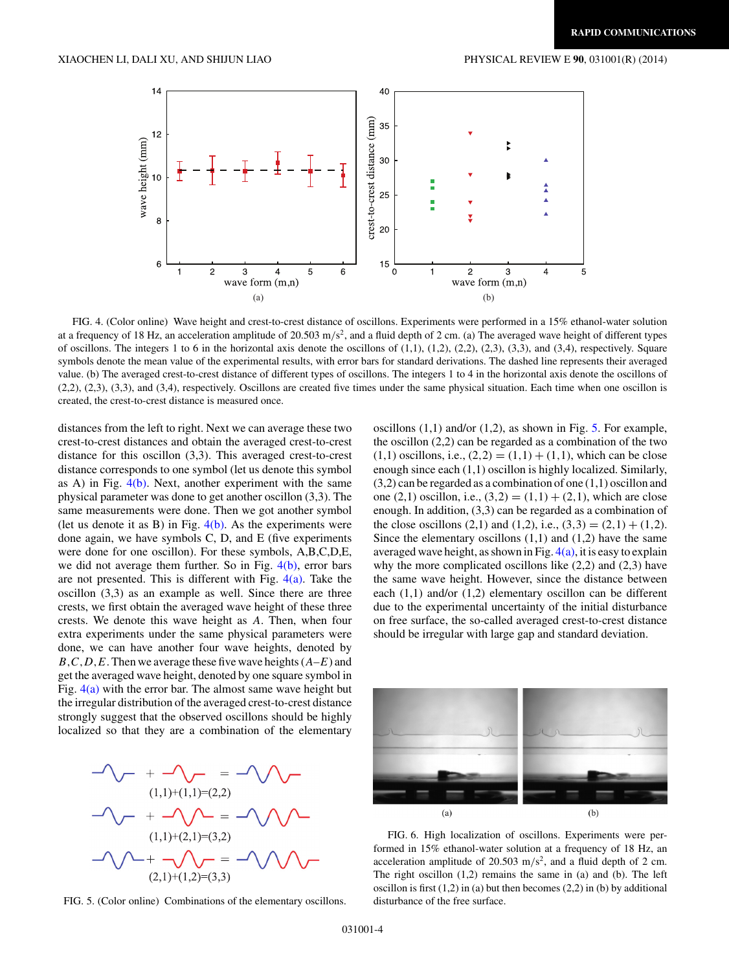<span id="page-3-0"></span>

FIG. 4. (Color online) Wave height and crest-to-crest distance of oscillons. Experiments were performed in a 15% ethanol-water solution at a frequency of 18 Hz, an acceleration amplitude of 20.503 m*/*s2, and a fluid depth of 2 cm. (a) The averaged wave height of different types of oscillons. The integers 1 to 6 in the horizontal axis denote the oscillons of  $(1,1)$ ,  $(1,2)$ ,  $(2,2)$ ,  $(2,3)$ ,  $(3,3)$ , and  $(3,4)$ , respectively. Square symbols denote the mean value of the experimental results, with error bars for standard derivations. The dashed line represents their averaged value. (b) The averaged crest-to-crest distance of different types of oscillons. The integers 1 to 4 in the horizontal axis denote the oscillons of (2,2), (2,3), (3,3), and (3,4), respectively. Oscillons are created five times under the same physical situation. Each time when one oscillon is created, the crest-to-crest distance is measured once.

distances from the left to right. Next we can average these two crest-to-crest distances and obtain the averaged crest-to-crest distance for this oscillon (3,3). This averaged crest-to-crest distance corresponds to one symbol (let us denote this symbol as A) in Fig.  $4(b)$ . Next, another experiment with the same physical parameter was done to get another oscillon (3,3). The same measurements were done. Then we got another symbol (let us denote it as B) in Fig.  $4(b)$ . As the experiments were done again, we have symbols C, D, and E (five experiments were done for one oscillon). For these symbols, A,B,C,D,E, we did not average them further. So in Fig.  $4(b)$ , error bars are not presented. This is different with Fig.  $4(a)$ . Take the oscillon (3,3) as an example as well. Since there are three crests, we first obtain the averaged wave height of these three crests. We denote this wave height as *A*. Then, when four extra experiments under the same physical parameters were done, we can have another four wave heights, denoted by *B,C,D,E*. Then we average these five wave heights (*A*–*E*) and get the averaged wave height, denoted by one square symbol in Fig.  $4(a)$  with the error bar. The almost same wave height but the irregular distribution of the averaged crest-to-crest distance strongly suggest that the observed oscillons should be highly localized so that they are a combination of the elementary



FIG. 5. (Color online) Combinations of the elementary oscillons.

oscillons  $(1,1)$  and/or  $(1,2)$ , as shown in Fig. 5. For example, the oscillon (2,2) can be regarded as a combination of the two  $(1,1)$  oscillons, i.e.,  $(2,2) = (1,1) + (1,1)$ , which can be close enough since each (1,1) oscillon is highly localized. Similarly,  $(3,2)$  can be regarded as a combination of one  $(1,1)$  oscillon and one  $(2,1)$  oscillon, i.e.,  $(3,2) = (1,1) + (2,1)$ , which are close enough. In addition, (3,3) can be regarded as a combination of the close oscillons  $(2,1)$  and  $(1,2)$ , i.e.,  $(3,3) = (2,1) + (1,2)$ . Since the elementary oscillons  $(1,1)$  and  $(1,2)$  have the same averaged wave height, as shown in Fig.  $4(a)$ , it is easy to explain why the more complicated oscillons like  $(2,2)$  and  $(2,3)$  have the same wave height. However, since the distance between each (1,1) and/or (1,2) elementary oscillon can be different due to the experimental uncertainty of the initial disturbance on free surface, the so-called averaged crest-to-crest distance should be irregular with large gap and standard deviation.



FIG. 6. High localization of oscillons. Experiments were performed in 15% ethanol-water solution at a frequency of 18 Hz, an acceleration amplitude of 20.503 m/s<sup>2</sup>, and a fluid depth of 2 cm. The right oscillon (1,2) remains the same in (a) and (b). The left oscillon is first  $(1,2)$  in (a) but then becomes  $(2,2)$  in (b) by additional disturbance of the free surface.